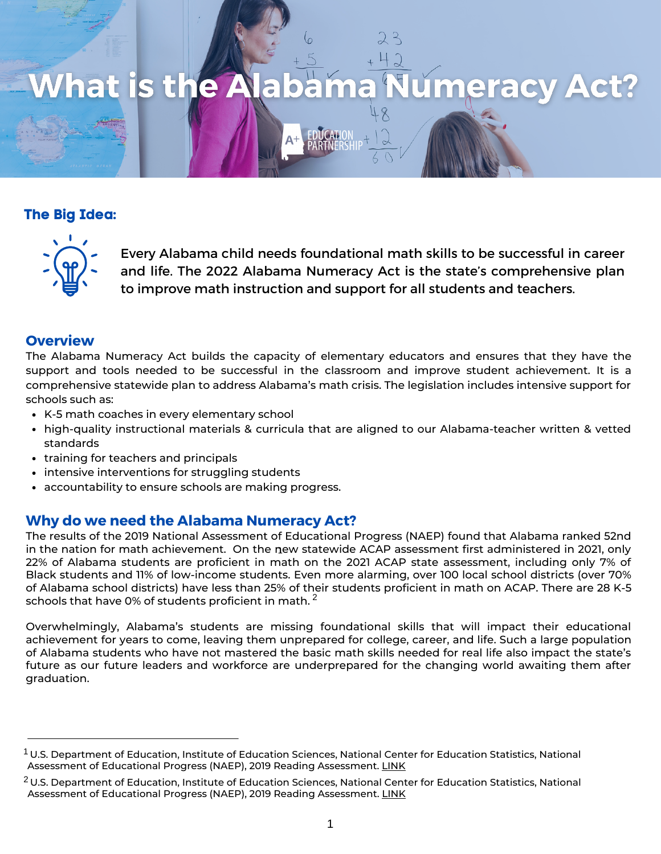

# **The Big Idea:**



Every Alabama child needs foundational math skills to be successful in career and life. The 2022 Alabama Numeracy Act is the state's comprehensive plan to improve math instruction and support for all students and teachers.

## **Overview**

The Alabama Numeracy Act builds the capacity of elementary educators and ensures that they have the support and tools needed to be successful in the classroom and improve student achievement. It is a comprehensive statewide plan to address Alabama's math crisis. The legislation includes intensive support for schools such as:

- K-5 math coaches in every elementary school
- high-quality instructional materials & curricula that are aligned to our Alabama-teacher written & vetted standards
- training for teachers and principals
- intensive interventions for struggling students
- accountability to ensure schools are making progress.

## **Why do we need the Alabama Numeracy Act?**

The results of the 2019 National Assessment of Educational Progress (NAEP) found that Alabama ranked 52nd in the nation for math achievement. On the new statewide ACAP assessment first administered in 2021, only 1 22% of Alabama students are proficient in math on the 2021 ACAP state assessment, including only 7% of Black students and 11% of low-income students. Even more alarming, over 100 local school districts (over 70% of Alabama school districts) have less than 25% of their students proficient in math on ACAP. There are 28 K-5 schools that have 0% of students proficient in math.  $^2$ 

Overwhelmingly, Alabama's students are missing foundational skills that will impact their educational achievement for years to come, leaving them unprepared for college, career, and life. Such a large population of Alabama students who have not mastered the basic math skills needed for real life also impact the state's future as our future leaders and workforce are underprepared for the changing world awaiting them after graduation.

 $^{\rm 1}$ U.S. Department of Education, Institute of Education Sciences, National Center for Education Statistics, National Assessment of Educational Progress (NAEP), 2019 Reading Assessment. [LINK](https://www.nationsreportcard.gov/profiles/stateprofile/overview/AL?cti=PgTab_GapComparisons&chort=1&sub=RED&sj=AL&fs=SubjectLabel&st=MN&year=2019R3&sg=Race%2FEthnicity%3A+White+vs.+Hispanic&sgv=Difference&ts=Single+Year&tss=2019R3&sfj=NP)

 $^2$ U.S. Department of Education, Institute of Education Sciences, National Center for Education Statistics, National Assessment of Educational Progress (NAEP), 2019 Reading Assessment. [LINK](https://www.nationsreportcard.gov/profiles/stateprofile/overview/AL?cti=PgTab_GapComparisons&chort=1&sub=RED&sj=AL&fs=SubjectLabel&st=MN&year=2019R3&sg=Race%2FEthnicity%3A+White+vs.+Hispanic&sgv=Difference&ts=Single+Year&tss=2019R3&sfj=NP)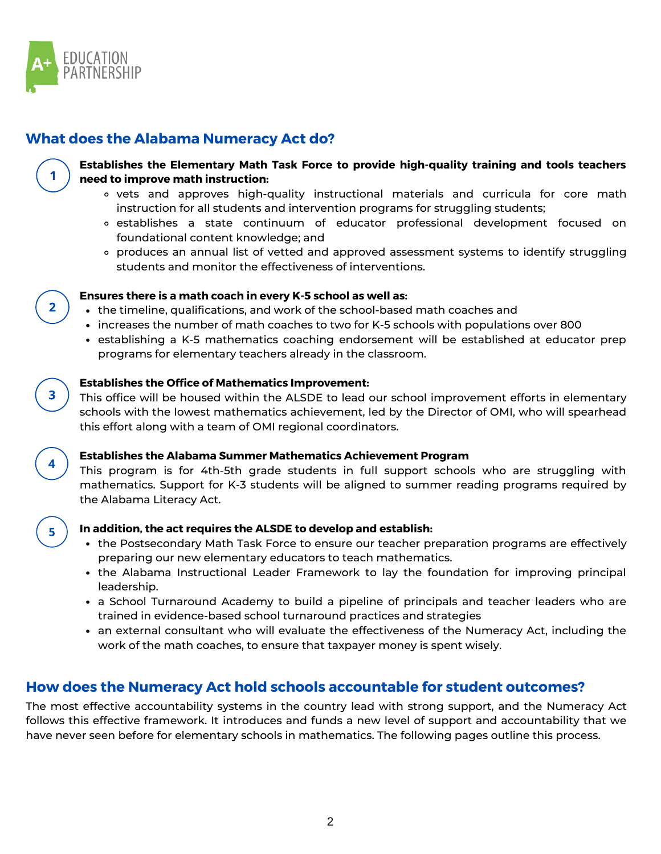

# **What does the Alabama Numeracy Act do?**



 $\overline{2}$ 

## **Establishes the Elementary Math Task Force to provide high-quality training and tools teachers need to improve math instruction:**

- vets and approves high-quality instructional materials and curricula for core math instruction for all students and intervention programs for struggling students;
- establishes a state continuum of educator professional development focused on foundational content knowledge; and
- produces an annual list of vetted and approved assessment systems to identify struggling students and monitor the effectiveness of interventions.

#### **Ensures there is a math coach in every K-5 school as well as:**

- the timeline, qualifications, and work of the school-based math coaches and
- increases the number of math coaches to two for K-5 schools with populations over 800
- establishing a K-5 mathematics coaching endorsement will be established at educator prep programs for elementary teachers already in the classroom.

#### **Establishes the Office of Mathematics Improvement:**

This office will be housed within the ALSDE to lead our school improvement efforts in elementary schools with the lowest mathematics achievement, led by the Director of OMI, who will spearhead this effort along with a team of OMI regional coordinators.



3

#### **Establishes the Alabama Summer Mathematics Achievement Program**

This program is for 4th-5th grade students in full support schools who are struggling with mathematics. Support for K-3 students will be aligned to summer reading programs required by the Alabama Literacy Act.



#### **In addition, the act requires the ALSDE to develop and establish:**

- the Postsecondary Math Task Force to ensure our teacher preparation programs are effectively preparing our new elementary educators to teach mathematics.
- the Alabama Instructional Leader Framework to lay the foundation for improving principal leadership.
- a School Turnaround Academy to build a pipeline of principals and teacher leaders who are trained in evidence-based school turnaround practices and strategies
- an external consultant who will evaluate the effectiveness of the Numeracy Act, including the work of the math coaches, to ensure that taxpayer money is spent wisely.

## **How does the Numeracy Act hold schools accountable for student outcomes?**

The most effective accountability systems in the country lead with strong support, and the Numeracy Act follows this effective framework. It introduces and funds a new level of support and accountability that we have never seen before for elementary schools in mathematics. The following pages outline this process.